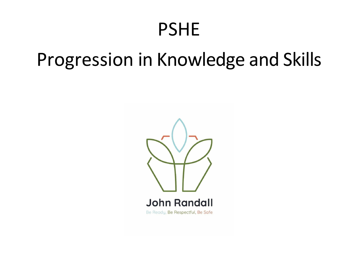## PSHE

# Progression in Knowledge and Skills

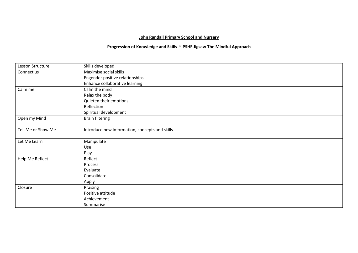### **John Randall Primary School and Nursery**

### **Progression of Knowledge and Skills ~ PSHE Jigsaw The Mindful Approach**

| Lesson Structure   | Skills developed                               |
|--------------------|------------------------------------------------|
| Connect us         | Maximise social skills                         |
|                    | Engender positive relationships                |
|                    | Enhance collaborative learning                 |
| Calm me            | Calm the mind                                  |
|                    | Relax the body                                 |
|                    | Quieten their emotions                         |
|                    | Reflection                                     |
|                    | Spiritual development                          |
| Open my Mind       | <b>Brain filtering</b>                         |
|                    |                                                |
| Tell Me or Show Me | Introduce new information, concepts and skills |
|                    |                                                |
| Let Me Learn       | Manipulate                                     |
|                    | Use                                            |
|                    | Play                                           |
| Help Me Reflect    | Reflect                                        |
|                    | Process                                        |
|                    | Evaluate                                       |
|                    | Consolidate                                    |
|                    | Apply                                          |
| Closure            | Praising                                       |
|                    | Positive attitude                              |
|                    | Achievement                                    |
|                    | Summarise                                      |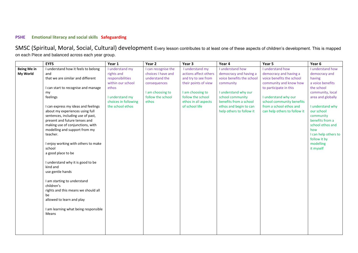#### **PSHE Emotional literacy and social skills Safeguarding**

SMSC (Spiritual, Moral, Social, Cultural) development Every lesson contributes to at least one of these aspects of children's development. This is mapped on each Piece and balanced across each year group.

|                    | <b>EYFS</b>                                                       | Year 1               | Year 2              | Year 3                | Year 4                    | Year 5                       | Year 6                              |
|--------------------|-------------------------------------------------------------------|----------------------|---------------------|-----------------------|---------------------------|------------------------------|-------------------------------------|
| <b>Being Me in</b> | I understand how it feels to belong                               | I understand my      | I can recognise the | I understand my       | I understand how          | I understand how             | I understand how                    |
| My World           | and                                                               | rights and           | choices I have and  | actions affect others | democracy and having a    | democracy and having a       | democracy and                       |
|                    | that we are similar and different                                 | responsibilities     | understand the      | and try to see from   | voice benefits the school | voice benefits the school    | having                              |
|                    |                                                                   | within our school    | consequences        | their points of view  | community                 | community and know how       | a voice benefits                    |
|                    | I can start to recognise and manage                               | ethos                |                     |                       |                           | to participate in this       | the school                          |
|                    | my                                                                |                      | I am choosing to    | I am choosing to      | I understand why our      |                              | community, local                    |
|                    | feelings                                                          | I understand my      | follow the school   | follow the school     | school community          | I understand why our         | area and globally                   |
|                    |                                                                   | choices in following | ethos               | ethos in all aspects  | benefits from a school    | school community benefits    |                                     |
|                    | I can express my ideas and feelings                               | the school ethos     |                     | of school life        | ethos and begin to can    | from a school ethos and      | I understand why                    |
|                    | about my experiences using full                                   |                      |                     |                       | help others to follow it  | can help others to follow it | our school                          |
|                    | sentences, including use of past,                                 |                      |                     |                       |                           |                              | community                           |
|                    | present and future tenses and                                     |                      |                     |                       |                           |                              | benefits from a<br>school ethos and |
|                    | making use of conjunctions, with<br>modelling and support from my |                      |                     |                       |                           |                              | how                                 |
|                    | teacher.                                                          |                      |                     |                       |                           |                              | I can help others to                |
|                    |                                                                   |                      |                     |                       |                           |                              | follow it by                        |
|                    | I enjoy working with others to make                               |                      |                     |                       |                           |                              | modelling                           |
|                    | school                                                            |                      |                     |                       |                           |                              | it myself                           |
|                    | a good place to be                                                |                      |                     |                       |                           |                              |                                     |
|                    |                                                                   |                      |                     |                       |                           |                              |                                     |
|                    | I understand why it is good to be                                 |                      |                     |                       |                           |                              |                                     |
|                    | kind and                                                          |                      |                     |                       |                           |                              |                                     |
|                    | use gentle hands                                                  |                      |                     |                       |                           |                              |                                     |
|                    |                                                                   |                      |                     |                       |                           |                              |                                     |
|                    | I am starting to understand                                       |                      |                     |                       |                           |                              |                                     |
|                    | children's                                                        |                      |                     |                       |                           |                              |                                     |
|                    | rights and this means we should all                               |                      |                     |                       |                           |                              |                                     |
|                    | be                                                                |                      |                     |                       |                           |                              |                                     |
|                    | allowed to learn and play                                         |                      |                     |                       |                           |                              |                                     |
|                    |                                                                   |                      |                     |                       |                           |                              |                                     |
|                    | I am learning what being responsible                              |                      |                     |                       |                           |                              |                                     |
|                    | Means                                                             |                      |                     |                       |                           |                              |                                     |
|                    |                                                                   |                      |                     |                       |                           |                              |                                     |
|                    |                                                                   |                      |                     |                       |                           |                              |                                     |
|                    |                                                                   |                      |                     |                       |                           |                              |                                     |
|                    |                                                                   |                      |                     |                       |                           |                              |                                     |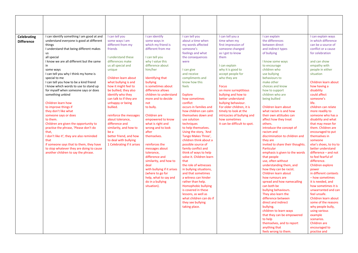| <b>Celebrating</b> | I can identify something I am good at and<br>understand everyone is good at different | I can tell you<br>some ways I am   | I can identify<br>some ways in         | I can tell you<br>about a time when        | I can tell you a<br>time when my              | I can explain<br>the differences          | I can explain ways<br>in which difference |
|--------------------|---------------------------------------------------------------------------------------|------------------------------------|----------------------------------------|--------------------------------------------|-----------------------------------------------|-------------------------------------------|-------------------------------------------|
| <b>Difference</b>  | things                                                                                | different from my                  | which my friend is                     | my words affected                          | first impression of                           | between direct                            | can be a source of                        |
|                    | I understand that being different makes                                               | friends                            | different from me                      | someone's                                  | someone changed                               | and indirect types                        | conflict or a cause                       |
|                    | us                                                                                    |                                    |                                        | feelings and what                          | as I got to know                              | of bullying                               | for celebration                           |
|                    | all special                                                                           | I understand these                 | I can tell you                         | the consequences                           | them                                          |                                           |                                           |
|                    | I know we are all different but the same                                              | differences make                   | why I value this                       | were                                       |                                               | I know some ways                          | and can show                              |
|                    | in                                                                                    | us all special and                 | difference about                       |                                            | I can explain                                 | to encourage                              | empathy with                              |
|                    | some ways                                                                             | unique                             | him/her                                | I can give                                 | why it is good to                             | children who                              | people in either                          |
|                    | I can tell you why I think my home is                                                 |                                    |                                        | and receive                                | accept people for                             | use bullying                              | situation                                 |
|                    | special to me                                                                         | Children learn about               | <b>Identifying that</b>                | compliments and                            | who they are                                  | behaviours to                             |                                           |
|                    | I can tell you how to be a kind friend                                                | what bullying is and               | bullying                               | know how this                              |                                               | make other                                | Children learn about                      |
|                    | I know which words to use to stand up                                                 | how it might feel to               | is sometimes about                     | feels                                      | <b>Focus</b>                                  | choices and know                          | how having a                              |
|                    | for myself when someone says or does                                                  | be bullied; they also              | difference allows                      |                                            | on more surreptitious                         | how to support                            | disability                                |
|                    | something unkind                                                                      | identify who they                  | children to understand                 | <b>Explore</b>                             | bullying and how to                           | children who are                          | could affect                              |
|                    |                                                                                       | can talk to if they are            | more and to decide                     | how sometimes                              | better understand                             | being bullied                             | someone's                                 |
|                    | Children learn how                                                                    | unhappy or being                   | not                                    | conflict                                   | bullying behaviour.                           |                                           | life.                                     |
|                    | to improve things if                                                                  | bullied.                           | to bully.                              | occurs in families and                     | For older children, it is                     | Children learn about                      | children can relate                       |
|                    | they don't like what                                                                  |                                    |                                        | how children can calm                      | timely to look at the                         | what racism is and how                    | more readily to                           |
|                    | someone says or does                                                                  | reinforce the messages             | Children are                           | themselves down and                        | intricacies of bullying and                   | their own attitudes can                   | someone who has a                         |
|                    | to them.<br>Children are given the opportunity to                                     | about tolerance,<br>difference and | empowered to know<br>what is right and | use solution<br>techniques                 | how sometimes<br>it can be difficult to spot. | affect how they treat<br>others.          | disability and what<br>that may mean for  |
|                    | practise the phrase, 'Please don't do                                                 | similarity, and how to             | wrong and to look                      | to help themselves.                        |                                               | introduce the concept of                  | them. Children are                        |
|                    | that,                                                                                 | be a                               | after                                  | Using the story, 'And                      |                                               | racism and                                | encouraged to put                         |
|                    | I don't like it'; they are also reminded                                              | better friend, and how             | themselves.                            | Tango Makes Three',                        |                                               | discrimination to children and            | themselves in                             |
|                    | that                                                                                  | to deal with bullying              |                                        | children think about a                     |                                               | they are                                  | someone                                   |
|                    | if someone says that to them, they have                                               | 1 Celebrating if it arises         | reinforces the                         | possible source of                         |                                               | invited to share their thoughts.          | else's shoes, to try to                   |
|                    | to stop whatever they are doing to cause                                              |                                    | messages about                         | family conflict and                        |                                               | Particular                                | better understand                         |
|                    | another children to say the phrase.                                                   |                                    | tolerance.                             | think of ways to help                      |                                               | emphasis is given to the words            | difference - and not                      |
|                    |                                                                                       |                                    | difference and                         | solve it. Children learn                   |                                               | that people                               | to feel fearful of                        |
|                    |                                                                                       |                                    | similarity, and how to                 | that                                       |                                               | use, often without                        | difference.                               |
|                    |                                                                                       |                                    | deal                                   | the role of witnesses                      |                                               | understanding them, and                   | Children explore                          |
|                    |                                                                                       |                                    | with bullying if it arises             | in bullying situations,                    |                                               | how they can be racist.                   | power                                     |
|                    |                                                                                       |                                    | (where to go for                       | and that sometimes                         |                                               | Children learn about                      | in different contexts                     |
|                    |                                                                                       |                                    | help, what to say and                  | a witness can hinder                       |                                               | how rumours are                           | - how sometimes                           |
|                    |                                                                                       |                                    | do in a bullying                       | rather than help.                          |                                               | spread and how namecalling                | it is needed, and                         |
|                    |                                                                                       |                                    | situation).                            | Homophobic bullying                        |                                               | can both be                               | how sometimes it is                       |
|                    |                                                                                       |                                    |                                        | is covered in these<br>lessons, as well as |                                               | bullying behaviours.                      | unwarranted and can<br>feel unsafe.       |
|                    |                                                                                       |                                    |                                        | what children can do if                    |                                               | They also learn the<br>difference between | Children learn about                      |
|                    |                                                                                       |                                    |                                        | they see bullying                          |                                               | direct and indirect                       | some of the reasons                       |
|                    |                                                                                       |                                    |                                        | taking place.                              |                                               | bullying.                                 | why people bully,                         |
|                    |                                                                                       |                                    |                                        |                                            |                                               | children to learn ways                    | using various                             |
|                    |                                                                                       |                                    |                                        |                                            |                                               | that they can be empowered                | example                                   |
|                    |                                                                                       |                                    |                                        |                                            |                                               | to help                                   | scenarios.                                |
|                    |                                                                                       |                                    |                                        |                                            |                                               | themselves, and to report                 | Children are                              |
|                    |                                                                                       |                                    |                                        |                                            |                                               | anything that                             | encouraged to                             |
|                    |                                                                                       |                                    |                                        |                                            |                                               | feels wrong to them.                      | practise and                              |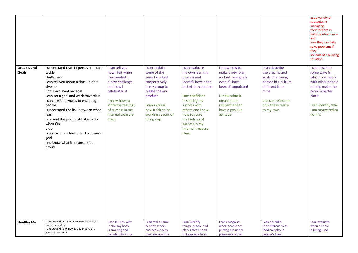|                            |                                                                                                                                                                                                                                                                                                                                                                                                                                              |                                                                                                                                                                                               |                                                                                                                                                                                         |                                                                                                                                                                                                                                                       |                                                                                                                                                                                  |                                                                                                                                                              | use a variety of<br>strategies in<br>managing<br>their feelings in<br>bullying situations-<br>and<br>how they can help<br>solve problems if<br>they<br>are part of a bullying<br>situation. |
|----------------------------|----------------------------------------------------------------------------------------------------------------------------------------------------------------------------------------------------------------------------------------------------------------------------------------------------------------------------------------------------------------------------------------------------------------------------------------------|-----------------------------------------------------------------------------------------------------------------------------------------------------------------------------------------------|-----------------------------------------------------------------------------------------------------------------------------------------------------------------------------------------|-------------------------------------------------------------------------------------------------------------------------------------------------------------------------------------------------------------------------------------------------------|----------------------------------------------------------------------------------------------------------------------------------------------------------------------------------|--------------------------------------------------------------------------------------------------------------------------------------------------------------|---------------------------------------------------------------------------------------------------------------------------------------------------------------------------------------------|
| <b>Dreams and</b><br>Goals | I understand that if I persevere I can<br>tackle<br>challenges<br>I can tell you about a time I didn't<br>give up<br>until I achieved my goal<br>I can set a goal and work towards it<br>I can use kind words to encourage<br>people<br>I understand the link between what I<br>learn<br>now and the job I might like to do<br>when I'm<br>older<br>I can say how I feel when I achieve a<br>goal<br>and know what it means to feel<br>proud | I can tell you<br>how I felt when<br>I succeeded in<br>a new challenge<br>and how I<br>celebrated it<br>I know how to<br>store the feelings<br>of success in my<br>internal treasure<br>chest | I can explain<br>some of the<br>ways I worked<br>cooperatively<br>in my group to<br>create the end<br>product<br>I can express<br>how it felt to be<br>working as part of<br>this group | I can evaluate<br>my own learning<br>process and<br>identify how it can<br>be better next time<br>I am confident<br>in sharing my<br>success with<br>others and know<br>how to store<br>my feelings of<br>success in my<br>internal treasure<br>chest | I know how to<br>make a new plan<br>and set new goals<br>even if I have<br>been disappointed<br>I know what it<br>means to be<br>resilient and to<br>have a positive<br>attitude | I can describe<br>the dreams and<br>goals of a young<br>person in a culture<br>different from<br>mine<br>and can reflect on<br>how these relate<br>to my own | I can describe<br>some ways in<br>which I can work<br>with other people<br>to help make the<br>world a better<br>place<br>I can identify why<br>I am motivated to<br>do this                |
| <b>Healthy Me</b>          | I understand that I need to exercise to keep<br>my body healthy<br>I understand how moving and resting are<br>good for my body                                                                                                                                                                                                                                                                                                               | I can tell you why<br>I think my body<br>is amazing and<br>can identify some                                                                                                                  | I can make some<br>healthy snacks<br>and explain why<br>they are good for                                                                                                               | I can identify<br>things, people and<br>places that I need<br>to keep safe from,                                                                                                                                                                      | I can recognise<br>when people are<br>putting me under<br>pressure and can                                                                                                       | I can describe<br>the different roles<br>food can play in<br>people's lives                                                                                  | I can evaluate<br>when alcohol<br>is being used                                                                                                                                             |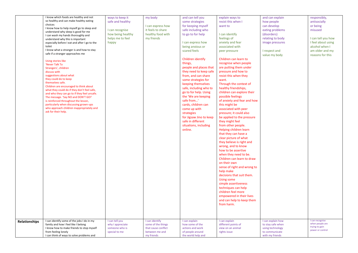|                      | I know which foods are healthy and not<br>so healthy and can make healthy eating<br>choices<br>I know how to help myself go to sleep and<br>understand why sleep is good for me<br>I can wash my hands thoroughly and<br>understand why this is important<br>especially before I eat and after I go to the<br>toilet<br>I know what a stranger is and how to stay<br>safe if a stranger approaches me<br>Using stories like<br>'Never Talk To<br>Strangers', children<br>discuss with<br>suggestions about what<br>they could do to keep<br>themselves safe.<br>Children are encouraged to think about<br>what they could do if they don't feel safe,<br>and who they can go to if they feel unsafe.<br>The message. 'Say NO and DON'T GO!'<br>is reinforced throughout the lesson,<br>particularly when discussing grown-ups<br>who approach children inappropriately and<br>ask for their help. | ways to keep it<br>safe and healthy<br>I can recognise<br>how being healthy<br>helps me to feel<br>happy | my body<br>I can express how<br>it feels to share<br>healthy food with<br>my friends        | and can tell you<br>some strategies<br>for keeping myself<br>safe including who<br>to go to for help<br>I can express how<br>being anxious or<br>scared feels<br>Children identify<br>things,<br>people and places that<br>they need to keep safe<br>from, and can share<br>some strategies for<br>keeping themselves<br>safe, including who to<br>go to for help. Using<br>the 'We are keeping<br>safe from'<br>cards, children can<br>come up with<br>strategies<br>for Jigsaw Jino to keep<br>safe in different<br>situations, including<br>online. | explain ways to<br>resist this when I<br>want to<br>I can identify<br>feelings of<br>anxiety and fear<br>associated with<br>peer pressure<br>Children can learn to<br>recognise when people<br>are putting them under<br>pressure and how to<br>resist this when they<br>want.<br>Through the context of<br>healthy friendships,<br>children can explore their<br>possible feelings<br>of anxiety and fear and how<br>this might be<br>associated with peer<br>pressure; it could also<br>be applied to the pressure<br>they might feel<br>from other people.<br>Helping children learn<br>that they can have a<br>clear picture of what<br>they believe is right and<br>wrong, and to know<br>how to be assertive<br>when they need to be.<br>Children can learn to draw<br>on their own<br>sense of right and wrong to<br>help make<br>decisions that suit them.<br>Using some<br>simple assertiveness<br>techniques can help<br>children feel more<br>empowered in their lives<br>and can help to keep them<br>from harm. | and can explain<br>how people<br>can develop<br>eating problems<br>(disorders)<br>relating to body<br>image pressures<br>I respect and<br>value my body | responsibly,<br>antisocially<br>or being<br>misused<br>I can tell you how<br>I feel about using<br>alcohol when I<br>am older and my<br>reasons for this |
|----------------------|---------------------------------------------------------------------------------------------------------------------------------------------------------------------------------------------------------------------------------------------------------------------------------------------------------------------------------------------------------------------------------------------------------------------------------------------------------------------------------------------------------------------------------------------------------------------------------------------------------------------------------------------------------------------------------------------------------------------------------------------------------------------------------------------------------------------------------------------------------------------------------------------------|----------------------------------------------------------------------------------------------------------|---------------------------------------------------------------------------------------------|--------------------------------------------------------------------------------------------------------------------------------------------------------------------------------------------------------------------------------------------------------------------------------------------------------------------------------------------------------------------------------------------------------------------------------------------------------------------------------------------------------------------------------------------------------|------------------------------------------------------------------------------------------------------------------------------------------------------------------------------------------------------------------------------------------------------------------------------------------------------------------------------------------------------------------------------------------------------------------------------------------------------------------------------------------------------------------------------------------------------------------------------------------------------------------------------------------------------------------------------------------------------------------------------------------------------------------------------------------------------------------------------------------------------------------------------------------------------------------------------------------------------------------------------------------------------------------------------|---------------------------------------------------------------------------------------------------------------------------------------------------------|----------------------------------------------------------------------------------------------------------------------------------------------------------|
| <b>Relationships</b> | I can identify some of the jobs I do in my<br>family and how I feel like I belong<br>I know how to make friends to stop myself<br>from feeling lonely<br>I can think of ways to solve problems and                                                                                                                                                                                                                                                                                                                                                                                                                                                                                                                                                                                                                                                                                                | I can tell you<br>why I appreciate<br>someone who is<br>special to me                                    | I can identify<br>some of the things<br>that cause conflict<br>between me and<br>my friends | I can explain<br>how some of the<br>actions and work<br>of people around<br>the world help and                                                                                                                                                                                                                                                                                                                                                                                                                                                         | I can explain<br>different points of<br>view on an animal<br>rights issue                                                                                                                                                                                                                                                                                                                                                                                                                                                                                                                                                                                                                                                                                                                                                                                                                                                                                                                                                    | I can explain how<br>to stay safe when<br>using technology<br>to communicate<br>with my friends                                                         | I can recognise<br>when people are<br>trying to gain<br>power or control                                                                                 |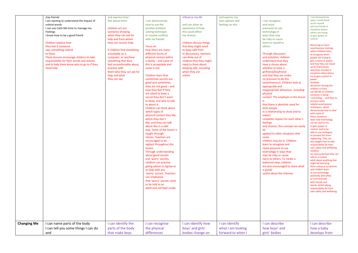| stay friends<br>influence my life<br>I can demonstrate<br>and express how I<br>and express my<br>ways I could stand<br>I am starting to understand the impact of<br>feel about them<br>I can demonstrate<br>own opinion and<br>I can recognise<br>up for myself<br>unkind words<br>how to use the<br>and can show an<br>feelings on this<br>and resist<br>and my friends in<br>I can use Calm Me time to manage my<br>children act out<br>positive problem<br>awareness of how<br>pressures to use<br>situations where<br>Feelings<br>solving technique<br>this could affect<br>technology in<br>scenarios showing<br>others are trying<br>I know how to be a good friend<br>when they can ask for<br>to resolve conflicts<br>my choices<br>ways that may<br>to gain power or<br>control<br>help and from whom<br>with my friends<br>be risky or cause<br>Children discuss things<br>Children explore how<br>they can receive help.<br>harm to myself or<br><b>Returning to more</b><br>they feel if someone<br>that they might need<br>others<br>Focus on<br>says something unkind<br>If children find something<br>to keep safe from<br>how there are many<br>to them.<br>unsuitable on a<br>different forms of<br>In discussions, teachers<br>Through discussion<br>to recognise when<br>These lessons encourage children to take<br>computer, or see/hear<br>physical contact within<br>can draw out of<br>and activities, children<br>responsibility for their words and actions<br>something that they<br>a family - and some of<br>children that they might<br>understand that they<br>and to help them know who to go to if they<br>feel uncomfortable about,<br>this is acceptable and<br>need to think about<br>have a choice about<br>up for themselves<br>need help.<br>practise with<br>some is not.<br>keeping safe, including<br>whether to have a<br>them who they can ask for<br>when they are<br>girlfriend/boyfriend<br>help and what<br>Children learn that<br>online.<br>and that they are under<br>they can say.<br>sometimes secrets are<br>no pressure to do this<br>power.<br>facilitate<br>good and sometimes<br>(assertiveness). Children look at<br>they are not good - and<br>appropriate and<br>children so they<br>how they feel if they<br>inappropriate behaviour, including<br>are asked to keep a<br>physical<br>someone is being<br>secret they don't want<br>contact. The emphasis in the lesson<br>to keep, and who to talk<br>practise some<br>that there is absolute need for<br>to about it.<br>techniques, which<br>Children can think about<br>both people<br>in a relationship to show and to<br>which types of<br>with some of<br>physical contact they like,<br>expect<br>these situations.<br>which they don't<br>complete respect for each other's<br>like, and they can talk<br>feelings<br>can be used to try<br>about this in a safe<br>and choices; this concept can easily<br>to gain power or<br>control, and to be<br>way. Some of the lesson is<br>be<br>taught through<br>applied to other situations that<br>stories. Teachers are<br>some<br>encouraged to be<br>children may be in. Children<br>vigilant throughout this<br>learn to recognise and<br>lesson.<br>resist pressure to use<br>Children<br>Through understanding<br>technology in ways that<br>about good secrets<br>may be risky or cause<br>talk to a trusted<br>and 'worry' secrets,<br>harm to others. To create a<br>children can practise<br>balanced view, children<br>might be worrying<br>giving advice to Jigsaw Jo<br>are also encouraged to share what<br>and children learn<br>to help with any<br>is good/<br>to use technology<br>useful about the internet.<br>'worry' secrets. Teachers<br>can emphasise<br>to communicate<br>that 'worry' secrets need<br>with friends and<br>to be told to an<br>adult and not kept inside.<br>I can identify the<br><b>Changing Me</b><br>I can name parts of the body<br>I can identify how<br>I can identify<br>I can describe<br>I can recognise |  |  |  |                                                                                                                                                                                                                                                                                                                                                                                                                                                                                                                                                                                                                                                                                                                                      |
|---------------------------------------------------------------------------------------------------------------------------------------------------------------------------------------------------------------------------------------------------------------------------------------------------------------------------------------------------------------------------------------------------------------------------------------------------------------------------------------------------------------------------------------------------------------------------------------------------------------------------------------------------------------------------------------------------------------------------------------------------------------------------------------------------------------------------------------------------------------------------------------------------------------------------------------------------------------------------------------------------------------------------------------------------------------------------------------------------------------------------------------------------------------------------------------------------------------------------------------------------------------------------------------------------------------------------------------------------------------------------------------------------------------------------------------------------------------------------------------------------------------------------------------------------------------------------------------------------------------------------------------------------------------------------------------------------------------------------------------------------------------------------------------------------------------------------------------------------------------------------------------------------------------------------------------------------------------------------------------------------------------------------------------------------------------------------------------------------------------------------------------------------------------------------------------------------------------------------------------------------------------------------------------------------------------------------------------------------------------------------------------------------------------------------------------------------------------------------------------------------------------------------------------------------------------------------------------------------------------------------------------------------------------------------------------------------------------------------------------------------------------------------------------------------------------------------------------------------------------------------------------------------------------------------------------------------------------------------------------------------------------------------------------------------------------------------------------------------------------------------------------------------------------------------------------------------------------------------------------------------------------------------------------------------------------------------------------------------------------------------------------------------------------------------------------------------------------------------------------------------------------------------------------------------------------------------------------------------------------------------------------------------------------------------------------------------------------------------------------------------------------------------------------------------------------------------------------------------------------------------------------------------------------------------------------------------------------------------------------------------------------------------------|--|--|--|--------------------------------------------------------------------------------------------------------------------------------------------------------------------------------------------------------------------------------------------------------------------------------------------------------------------------------------------------------------------------------------------------------------------------------------------------------------------------------------------------------------------------------------------------------------------------------------------------------------------------------------------------------------------------------------------------------------------------------------|
|                                                                                                                                                                                                                                                                                                                                                                                                                                                                                                                                                                                                                                                                                                                                                                                                                                                                                                                                                                                                                                                                                                                                                                                                                                                                                                                                                                                                                                                                                                                                                                                                                                                                                                                                                                                                                                                                                                                                                                                                                                                                                                                                                                                                                                                                                                                                                                                                                                                                                                                                                                                                                                                                                                                                                                                                                                                                                                                                                                                                                                                                                                                                                                                                                                                                                                                                                                                                                                                                                                                                                                                                                                                                                                                                                                                                                                                                                                                                                                                                                                 |  |  |  | assertiveness training<br>where children learn<br>people are trying to<br>gain control or power,<br>and how they can stand<br>(and their friends) in<br>situations when others<br>try to gain control or<br>discussion among the<br>can decide on whether<br>'controlling' - and then to<br>helpful assertiveness<br>demonstrate how to deal<br>learn how technology<br>able to use strategies<br>to prevent this from<br>happening. They are<br>also taught how to take<br>responsibility for their<br>own safety and wellbeing.<br>are reassured that they can<br>adult about anything that<br>them online or on phones<br>positively and safely<br>family, whilst taking<br>responsibility for their<br>own safety and wellbeing. |
| I can tell you some things I can do<br>parts of the body<br>boys' and girls'<br>the physical<br>what I am looking<br>how boys' and<br>how a baby<br>that make boys<br>differences<br>bodies change on<br>girls' bodies<br>and<br>forward to when I                                                                                                                                                                                                                                                                                                                                                                                                                                                                                                                                                                                                                                                                                                                                                                                                                                                                                                                                                                                                                                                                                                                                                                                                                                                                                                                                                                                                                                                                                                                                                                                                                                                                                                                                                                                                                                                                                                                                                                                                                                                                                                                                                                                                                                                                                                                                                                                                                                                                                                                                                                                                                                                                                                                                                                                                                                                                                                                                                                                                                                                                                                                                                                                                                                                                                                                                                                                                                                                                                                                                                                                                                                                                                                                                                                              |  |  |  | I can describe<br>develops from                                                                                                                                                                                                                                                                                                                                                                                                                                                                                                                                                                                                                                                                                                      |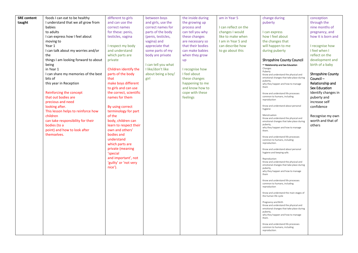| <b>SRE</b> content | foods I can eat to be healthy        | different to girls      | between boys        | the inside during | am in Year 5         | change during                                                                    | conception               |
|--------------------|--------------------------------------|-------------------------|---------------------|-------------------|----------------------|----------------------------------------------------------------------------------|--------------------------|
| taught             | I understand that we all grow from   | and can use the         | and girls, use the  | the growing up    |                      | puberty                                                                          | through the              |
|                    | babies                               | correct names           | correct names for   | process and       | I can reflect on the |                                                                                  | nine months of           |
|                    |                                      |                         |                     |                   |                      |                                                                                  |                          |
|                    | to adults                            | for these: penis,       | parts of the body   | can tell you why  | changes I would      | I can express                                                                    | pregnancy, and           |
|                    | I can express how I feel about       | testicles, vagina       | (penis, testicles,  | these changes     | like to make when    | how I feel about                                                                 | how it is born and       |
|                    | moving to                            |                         | vagina) and         | are necessary so  | I am in Year 5 and   | the changes that                                                                 |                          |
|                    | Year 1                               | I respect my body       | appreciate that     | that their bodies | can describe how     | will happen to me                                                                | I recognise how          |
|                    | I can talk about my worries and/or   | and understand          | some parts of my    | can make babies   | to go about this     | during puberty                                                                   | I feel when I            |
|                    | the                                  | which parts are         | body are private    | when they grow    |                      |                                                                                  | reflect on the           |
|                    | things I am looking forward to about | private                 |                     | up                |                      | <b>Shropshire County Council</b>                                                 | development and          |
|                    |                                      |                         |                     |                   |                      |                                                                                  |                          |
|                    | being                                |                         | I can tell you what |                   |                      | - Relationship and Sex Education<br>Changes                                      | birth of a baby          |
|                    | in Year 1                            | Children identify the   | I like/don't like   | I recognise how   |                      | Puberty                                                                          |                          |
|                    | I can share my memories of the best  | parts of the body       | about being a boy/  | I feel about      |                      | Know and understand the physical and                                             | <b>Shropshire County</b> |
|                    | bits of                              | that                    | girl                | these changes     |                      | emotional changes that take place during                                         | Council-                 |
|                    | this year in Reception               | make boys different     |                     | happening to me   |                      | puberty,<br>why they happen and how to manage                                    | Relationship and         |
|                    |                                      | to girls and can use    |                     | and know how to   |                      | them                                                                             | <b>Sex Education</b>     |
|                    | Reinforcing the concept              | the correct, scientific |                     | cope with these   |                      |                                                                                  | Identify changes in      |
|                    | that out bodies are                  | names for them          |                     |                   |                      | Know and understand life processes<br>common to humans, including                |                          |
|                    |                                      |                         |                     | feelings          |                      | reproduction                                                                     | puberty and              |
|                    | precious and need                    |                         |                     |                   |                      |                                                                                  | increase self            |
|                    | looking after.                       | By using correct        |                     |                   |                      | Know and understand about personal<br>hygiene                                    | confidence               |
|                    | This lesson helps to reinforce how   | terminology for part    |                     |                   |                      |                                                                                  |                          |
|                    | children                             | of the                  |                     |                   |                      | Menstruation                                                                     | Recognise my own         |
|                    | can take responsibility for their    | body, children can      |                     |                   |                      | Know and understand the physical and<br>emotional changes that take place during | worth and that of        |
|                    | bodies (to a                         | learn to respect their  |                     |                   |                      | puberty,                                                                         | others                   |
|                    | point) and how to look after         | own and others'         |                     |                   |                      | why they happen and how to manage                                                |                          |
|                    |                                      |                         |                     |                   |                      | them.                                                                            |                          |
|                    | themselves.                          | bodies and              |                     |                   |                      | Know and understand life processes                                               |                          |
|                    |                                      | understand              |                     |                   |                      | common to humans, including                                                      |                          |
|                    |                                      | which parts are         |                     |                   |                      | reproduction.                                                                    |                          |
|                    |                                      | private (meaning        |                     |                   |                      | Know and understand about personal                                               |                          |
|                    |                                      | 'special                |                     |                   |                      | hygiene and keeping safe.                                                        |                          |
|                    |                                      | and important', not     |                     |                   |                      | Reproduction                                                                     |                          |
|                    |                                      | 'guilty' or 'not very   |                     |                   |                      | Know and understand the physical and                                             |                          |
|                    |                                      |                         |                     |                   |                      | emotional changes that take place during                                         |                          |
|                    |                                      | nice').                 |                     |                   |                      | puberty,<br>why they happen and how to manage                                    |                          |
|                    |                                      |                         |                     |                   |                      | them                                                                             |                          |
|                    |                                      |                         |                     |                   |                      |                                                                                  |                          |
|                    |                                      |                         |                     |                   |                      | Know and understand life processes<br>common to humans, including                |                          |
|                    |                                      |                         |                     |                   |                      | reproduction                                                                     |                          |
|                    |                                      |                         |                     |                   |                      |                                                                                  |                          |
|                    |                                      |                         |                     |                   |                      | Know and understand the main stages of<br>the human life cycle                   |                          |
|                    |                                      |                         |                     |                   |                      |                                                                                  |                          |
|                    |                                      |                         |                     |                   |                      | Pregnancy and Birth                                                              |                          |
|                    |                                      |                         |                     |                   |                      | Know and understand the physical and<br>emotional changes that take place during |                          |
|                    |                                      |                         |                     |                   |                      | puberty,                                                                         |                          |
|                    |                                      |                         |                     |                   |                      | why they happen and how to manage                                                |                          |
|                    |                                      |                         |                     |                   |                      | them.                                                                            |                          |
|                    |                                      |                         |                     |                   |                      | Know and understand life processes                                               |                          |
|                    |                                      |                         |                     |                   |                      | common to humans, including                                                      |                          |
|                    |                                      |                         |                     |                   |                      | reproduction.                                                                    |                          |
|                    |                                      |                         |                     |                   |                      |                                                                                  |                          |